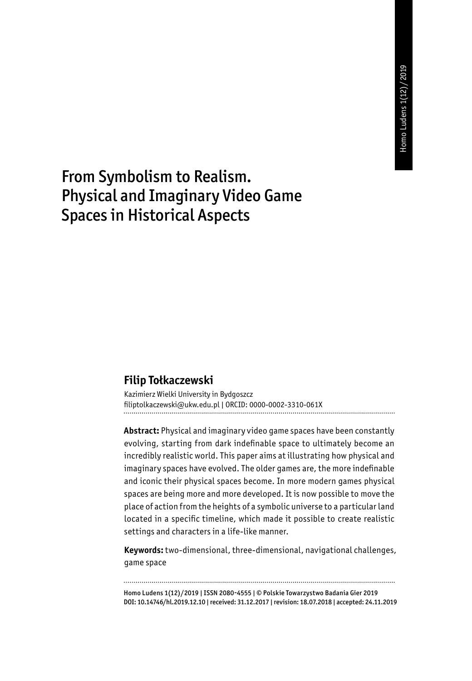# From Symbolism to Realism. Physical and Imaginary Video Game Spaces in Historical Aspects

#### **Filip Tołkaczewski**

Kazimierz Wielki University in Bydgoszcz filiptolkaczewski@ukw.edu.pl | ORCID: 0000-0002-3310-061X 

**Abstract:** Physical and imaginary video game spaces have been constantly evolving, starting from dark indefinable space to ultimately become an incredibly realistic world. This paper aims at illustrating how physical and imaginary spaces have evolved. The older games are, the more indefinable and iconic their physical spaces become. In more modern games physical spaces are being more and more developed. It is now possible to move the place of action from the heights of a symbolic universe to a particular land located in a specific timeline, which made it possible to create realistic settings and characters in a life-like manner.

**Keywords:** two-dimensional, three-dimensional, navigational challenges, game space

Homo Ludens 1(12)/2019 | ISSN 2080-4555 | © Polskie Towarzystwo Badania Gier 2019 DOI: 10.14746/hl.2019.12.10 | received: 31.12.2017 | revision: 18.07.2018 | accepted: 24.11.2019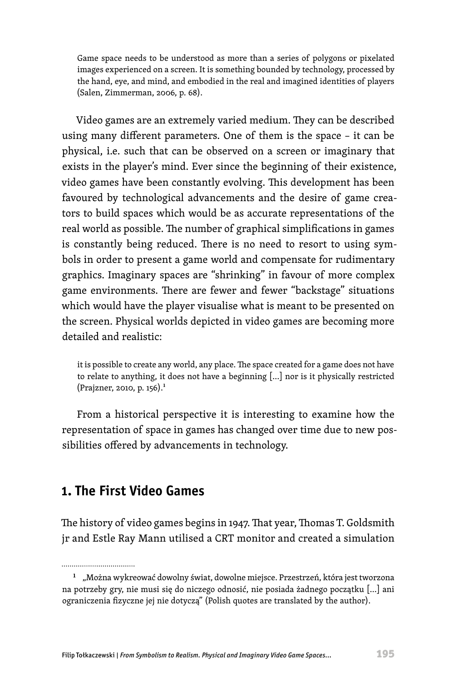Game space needs to be understood as more than a series of polygons or pixelated images experienced on a screen. It is something bounded by technology, processed by the hand, eye, and mind, and embodied in the real and imagined identities of players (Salen, Zimmerman, 2006, p. 68).

Video games are an extremely varied medium. They can be described using many different parameters. One of them is the space – it can be physical, i.e. such that can be observed on a screen or imaginary that exists in the player's mind. Ever since the beginning of their existence, video games have been constantly evolving. This development has been favoured by technological advancements and the desire of game creators to build spaces which would be as accurate representations of the real world as possible. The number of graphical simplifications in games is constantly being reduced. There is no need to resort to using symbols in order to present a game world and compensate for rudimentary graphics. Imaginary spaces are "shrinking" in favour of more complex game environments. There are fewer and fewer "backstage" situations which would have the player visualise what is meant to be presented on the screen. Physical worlds depicted in video games are becoming more detailed and realistic:

it is possible to create any world, any place. The space created for a game does not have to relate to anything, it does not have a beginning […] nor is it physically restricted (Prajzner, 2010, p. 156).1

From a historical perspective it is interesting to examine how the representation of space in games has changed over time due to new possibilities offered by advancements in technology.

# **1. The First Video Games**

................................

The history of video games begins in 1947. That year, Thomas T. Goldsmith jr and Estle Ray Mann utilised a CRT monitor and created a simulation

<sup>&</sup>lt;sup>1</sup> "Można wykreować dowolny świat, dowolne miejsce. Przestrzeń, która jest tworzona na potrzeby gry, nie musi się do niczego odnosić, nie posiada żadnego początku […] ani ograniczenia fizyczne jej nie dotyczą" (Polish quotes are translated by the author).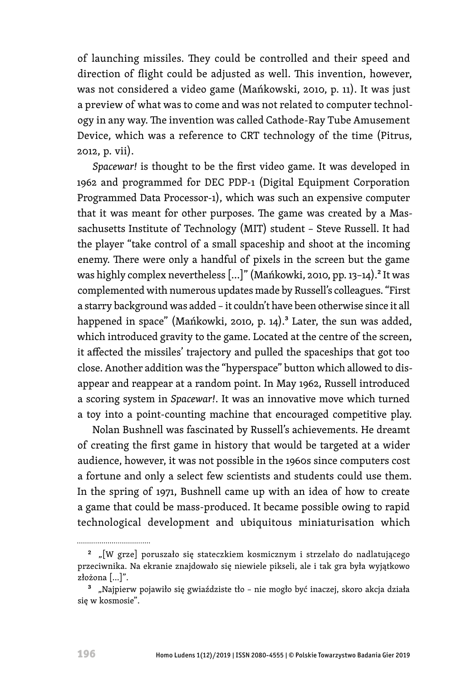of launching missiles. They could be controlled and their speed and direction of flight could be adjusted as well. This invention, however, was not considered a video game (Mańkowski, 2010, p. 11). It was just a preview of what was to come and was not related to computer technology in any way. The invention was called Cathode-Ray Tube Amusement Device, which was a reference to CRT technology of the time (Pitrus, 2012, p. vii).

*Spacewar!* is thought to be the first video game. It was developed in 1962 and programmed for DEC PDP-1 (Digital Equipment Corporation Programmed Data Processor-1), which was such an expensive computer that it was meant for other purposes. The game was created by a Massachusetts Institute of Technology (MIT) student – Steve Russell. It had the player "take control of a small spaceship and shoot at the incoming enemy. There were only a handful of pixels in the screen but the game was highly complex nevertheless  $[...]$ " (Mańkowki, 2010, pp. 13-14).<sup>2</sup> It was complemented with numerous updates made by Russell's colleagues. "First a starry background was added – it couldn't have been otherwise since it all happened in space" (Mańkowki, 2010, p. 14).<sup>3</sup> Later, the sun was added, which introduced gravity to the game. Located at the centre of the screen, it affected the missiles' trajectory and pulled the spaceships that got too close. Another addition was the "hyperspace" button which allowed to disappear and reappear at a random point. In May 1962, Russell introduced a scoring system in *Spacewar!*. It was an innovative move which turned a toy into a point-counting machine that encouraged competitive play.

Nolan Bushnell was fascinated by Russell's achievements. He dreamt of creating the first game in history that would be targeted at a wider audience, however, it was not possible in the 1960s since computers cost a fortune and only a select few scientists and students could use them. In the spring of 1971, Bushnell came up with an idea of how to create a game that could be mass-produced. It became possible owing to rapid technological development and ubiquitous miniaturisation which

<sup>&</sup>lt;sup>2</sup> "[W grze] poruszało się stateczkiem kosmicznym i strzelało do nadlatującego przeciwnika. Na ekranie znajdowało się niewiele pikseli, ale i tak gra była wyjątkowo złożona […]".

<sup>3 &</sup>quot;Najpierw pojawiło się gwiaździste tło – nie mogło być inaczej, skoro akcja działa się w kosmosie".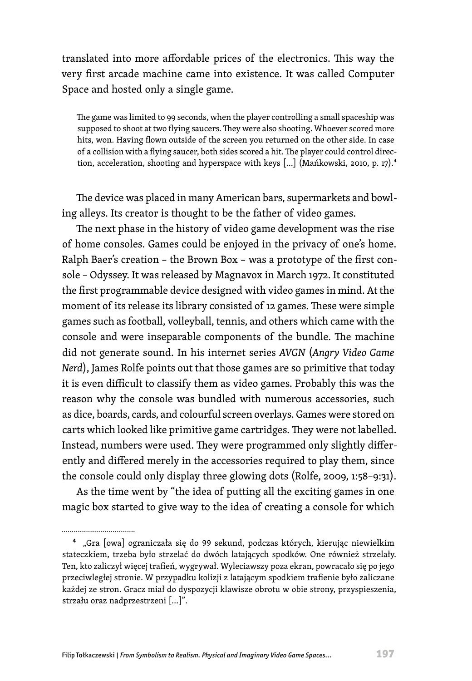translated into more affordable prices of the electronics. This way the very first arcade machine came into existence. It was called Computer Space and hosted only a single game.

The game was limited to 99 seconds, when the player controlling a small spaceship was supposed to shoot at two flying saucers. They were also shooting. Whoever scored more hits, won. Having flown outside of the screen you returned on the other side. In case of a collision with a flying saucer, both sides scored a hit. The player could control direction, acceleration, shooting and hyperspace with keys [...] (Mańkowski, 2010, p. 17).<sup>4</sup>

The device was placed in many American bars, supermarkets and bowling alleys. Its creator is thought to be the father of video games.

The next phase in the history of video game development was the rise of home consoles. Games could be enjoyed in the privacy of one's home. Ralph Baer's creation – the Brown Box – was a prototype of the first console – Odyssey. It was released by Magnavox in March 1972. It constituted the first programmable device designed with video games in mind. At the moment of its release its library consisted of 12 games. These were simple games such as football, volleyball, tennis, and others which came with the console and were inseparable components of the bundle. The machine did not generate sound. In his internet series *AVGN* (*Angry Video Game Nerd*), James Rolfe points out that those games are so primitive that today it is even difficult to classify them as video games. Probably this was the reason why the console was bundled with numerous accessories, such as dice, boards, cards, and colourful screen overlays. Games were stored on carts which looked like primitive game cartridges. They were not labelled. Instead, numbers were used. They were programmed only slightly differently and differed merely in the accessories required to play them, since the console could only display three glowing dots (Rolfe, 2009, 1:58–9:31).

As the time went by "the idea of putting all the exciting games in one magic box started to give way to the idea of creating a console for which

................................

4 "Gra [owa] ograniczała się do 99 sekund, podczas których, kierując niewielkim stateczkiem, trzeba było strzelać do dwóch latających spodków. One również strzelały. Ten, kto zaliczył więcej trafień, wygrywał. Wyleciawszy poza ekran, powracało się po jego przeciwległej stronie. W przypadku kolizji z latającym spodkiem trafienie było zaliczane każdej ze stron. Gracz miał do dyspozycji klawisze obrotu w obie strony, przyspieszenia, strzału oraz nadprzestrzeni […]".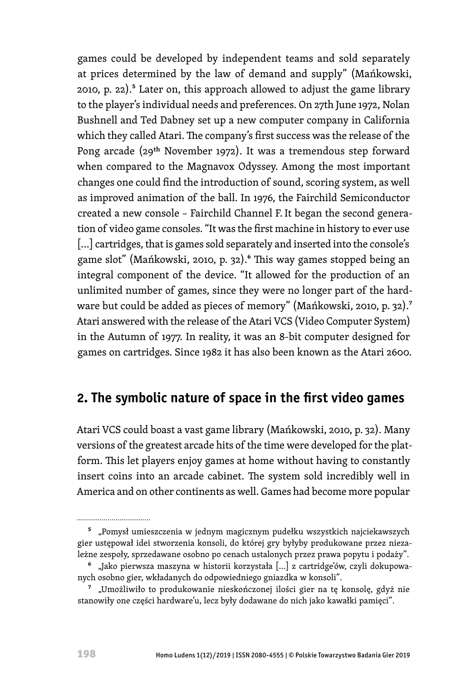games could be developed by independent teams and sold separately at prices determined by the law of demand and supply" (Mańkowski, 2010, p. 22). $5$  Later on, this approach allowed to adjust the game library to the player's individual needs and preferences. On 27th June 1972, Nolan Bushnell and Ted Dabney set up a new computer company in California which they called Atari. The company's first success was the release of the Pong arcade (29th November 1972). It was a tremendous step forward when compared to the Magnavox Odyssey. Among the most important changes one could find the introduction of sound, scoring system, as well as improved animation of the ball. In 1976, the Fairchild Semiconductor created a new console – Fairchild Channel F.It began the second generation of video game consoles. "It was the first machine in history to ever use [...] cartridges, that is games sold separately and inserted into the console's game slot" (Mańkowski, 2010, p. 32).<sup>6</sup> This way games stopped being an integral component of the device. "It allowed for the production of an unlimited number of games, since they were no longer part of the hardware but could be added as pieces of memory" (Mańkowski, 2010, p. 32).7 Atari answered with the release of the Atari VCS (Video Computer System) in the Autumn of 1977. In reality, it was an 8-bit computer designed for games on cartridges. Since 1982 it has also been known as the Atari 2600.

# **2. The symbolic nature of space in the first video games**

Atari VCS could boast a vast game library (Mańkowski, 2010, p. 32). Many versions of the greatest arcade hits of the time were developed for the platform. This let players enjoy games at home without having to constantly insert coins into an arcade cabinet. The system sold incredibly well in America and on other continents as well. Games had become more popular

<sup>&</sup>lt;sup>5</sup> "Pomysł umieszczenia w jednym magicznym pudełku wszystkich najciekawszych gier ustępował idei stworzenia konsoli, do której gry byłyby produkowane przez niezależne zespoły, sprzedawane osobno po cenach ustalonych przez prawa popytu i podaży".

<sup>6 &</sup>quot;Jako pierwsza maszyna w historii korzystała […] z cartridge'ów, czyli dokupowanych osobno gier, wkładanych do odpowiedniego gniazdka w konsoli".

<sup>&</sup>lt;sup>7</sup> "Umożliwiło to produkowanie nieskończonej ilości gier na tę konsolę, gdyż nie stanowiły one części hardware'u, lecz były dodawane do nich jako kawałki pamięci".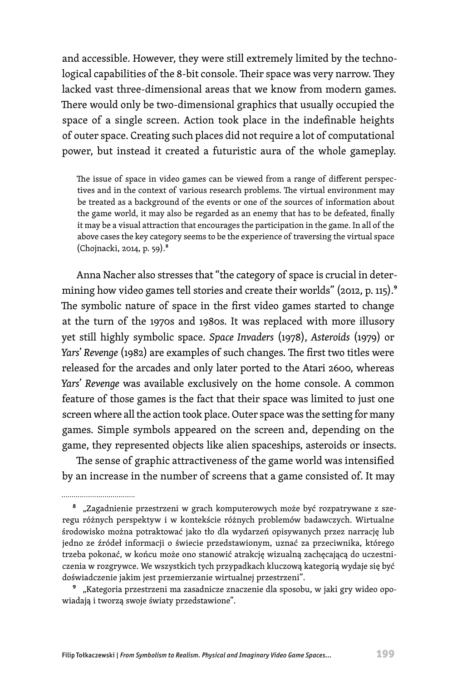and accessible. However, they were still extremely limited by the technological capabilities of the 8-bit console. Their space was very narrow. They lacked vast three-dimensional areas that we know from modern games. There would only be two-dimensional graphics that usually occupied the space of a single screen. Action took place in the indefinable heights of outer space. Creating such places did not require a lot of computational power, but instead it created a futuristic aura of the whole gameplay.

The issue of space in video games can be viewed from a range of different perspectives and in the context of various research problems. The virtual environment may be treated as a background of the events or one of the sources of information about the game world, it may also be regarded as an enemy that has to be defeated, finally it may be a visual attraction that encourages the participation in the game. In all of the above cases the key category seems to be the experience of traversing the virtual space (Chojnacki, 2014, p. 59).8

Anna Nacher also stresses that "the category of space is crucial in determining how video games tell stories and create their worlds" (2012, p. 115).<sup>9</sup> The symbolic nature of space in the first video games started to change at the turn of the 1970s and 1980s. It was replaced with more illusory yet still highly symbolic space. *Space Invaders* (1978), *Asteroids* (1979) or *Yars*' *Revenge* (1982) are examples of such changes. The first two titles were released for the arcades and only later ported to the Atari 2600, whereas *Yars*' *Revenge* was available exclusively on the home console. A common feature of those games is the fact that their space was limited to just one screen where all the action took place. Outer space was the setting for many games. Simple symbols appeared on the screen and, depending on the game, they represented objects like alien spaceships, asteroids or insects.

The sense of graphic attractiveness of the game world was intensified by an increase in the number of screens that a game consisted of. It may

<sup>9</sup> "Kategoria przestrzeni ma zasadnicze znaczenie dla sposobu, w jaki gry wideo opowiadają i tworzą swoje światy przedstawione".

<sup>8 &</sup>quot;Zagadnienie przestrzeni w grach komputerowych może być rozpatrywane z szeregu różnych perspektyw i w kontekście różnych problemów badawczych. Wirtualne środowisko można potraktować jako tło dla wydarzeń opisywanych przez narrację lub jedno ze źródeł informacji o świecie przedstawionym, uznać za przeciwnika, którego trzeba pokonać, w końcu może ono stanowić atrakcję wizualną zachęcającą do uczestniczenia w rozgrywce. We wszystkich tych przypadkach kluczową kategorią wydaje się być doświadczenie jakim jest przemierzanie wirtualnej przestrzeni".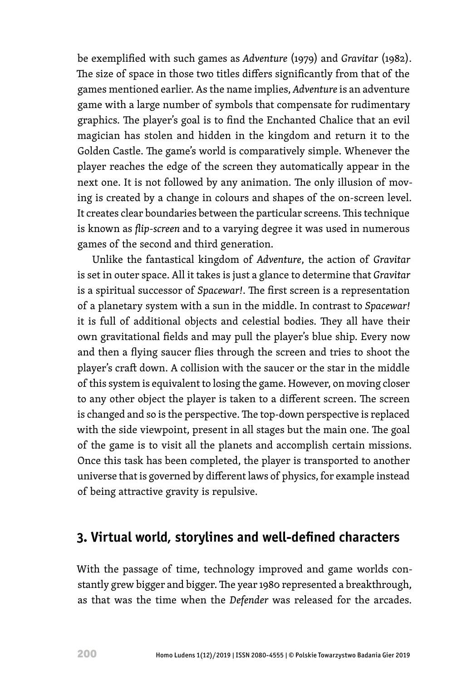be exemplified with such games as *Adventure* (1979) and *Gravitar* (1982). The size of space in those two titles differs significantly from that of the games mentioned earlier. As the name implies, *Adventure* is an adventure game with a large number of symbols that compensate for rudimentary graphics. The player's goal is to find the Enchanted Chalice that an evil magician has stolen and hidden in the kingdom and return it to the Golden Castle. The game's world is comparatively simple. Whenever the player reaches the edge of the screen they automatically appear in the next one. It is not followed by any animation. The only illusion of moving is created by a change in colours and shapes of the on-screen level. It creates clear boundaries between the particular screens. This technique is known as *flip*-*screen* and to a varying degree it was used in numerous games of the second and third generation.

Unlike the fantastical kingdom of *Adventure*, the action of *Gravitar*  is set in outer space. All it takes is just a glance to determine that *Gravitar*  is a spiritual successor of *Spacewar!*. The first screen is a representation of a planetary system with a sun in the middle. In contrast to *Spacewar!* it is full of additional objects and celestial bodies. They all have their own gravitational fields and may pull the player's blue ship. Every now and then a flying saucer flies through the screen and tries to shoot the player's craft down. A collision with the saucer or the star in the middle of this system is equivalent to losing the game. However, on moving closer to any other object the player is taken to a different screen. The screen is changed and so is the perspective. The top-down perspective is replaced with the side viewpoint, present in all stages but the main one. The goal of the game is to visit all the planets and accomplish certain missions. Once this task has been completed, the player is transported to another universe that is governed by different laws of physics, for example instead of being attractive gravity is repulsive.

# **3. Virtual world, storylines and well-defined characters**

With the passage of time, technology improved and game worlds constantly grew bigger and bigger. The year 1980 represented a breakthrough, as that was the time when the *Defender* was released for the arcades.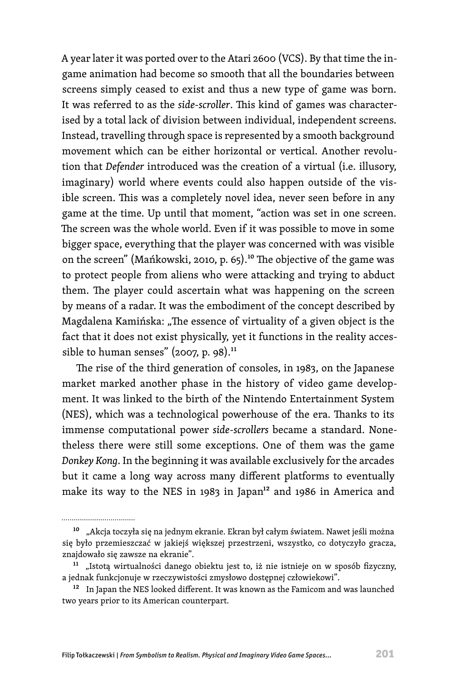A year later it was ported over to the Atari 2600 (VCS). By that time the ingame animation had become so smooth that all the boundaries between screens simply ceased to exist and thus a new type of game was born. It was referred to as the *side-scroller*. This kind of games was characterised by a total lack of division between individual, independent screens. Instead, travelling through space is represented by a smooth background movement which can be either horizontal or vertical. Another revolution that *Defender* introduced was the creation of a virtual (i.e. illusory, imaginary) world where events could also happen outside of the visible screen. This was a completely novel idea, never seen before in any game at the time. Up until that moment, "action was set in one screen. The screen was the whole world. Even if it was possible to move in some bigger space, everything that the player was concerned with was visible on the screen" (Mańkowski, 2010, p. 65).<sup>10</sup> The objective of the game was to protect people from aliens who were attacking and trying to abduct them. The player could ascertain what was happening on the screen by means of a radar. It was the embodiment of the concept described by Magdalena Kamińska: "The essence of virtuality of a given object is the fact that it does not exist physically, yet it functions in the reality accessible to human senses" (2007, p. 98).<sup>11</sup>

The rise of the third generation of consoles, in 1983, on the Japanese market marked another phase in the history of video game development. It was linked to the birth of the Nintendo Entertainment System (NES), which was a technological powerhouse of the era. Thanks to its immense computational power *side-scrollers* became a standard. Nonetheless there were still some exceptions. One of them was the game *Donkey Kong*. In the beginning it was available exclusively for the arcades but it came a long way across many different platforms to eventually make its way to the NES in 1983 in Japan $12$  and 1986 in America and

<sup>10 &</sup>quot;Akcja toczyła się na jednym ekranie. Ekran był całym światem. Nawet jeśli można się było przemieszczać w jakiejś większej przestrzeni, wszystko, co dotyczyło gracza, znajdowało się zawsze na ekranie".

<sup>&</sup>lt;sup>11</sup> "Istotą wirtualności danego obiektu jest to, iż nie istnieje on w sposób fizyczny, a jednak funkcjonuje w rzeczywistości zmysłowo dostępnej człowiekowi".

<sup>&</sup>lt;sup>12</sup> In Japan the NES looked different. It was known as the Famicom and was launched two years prior to its American counterpart.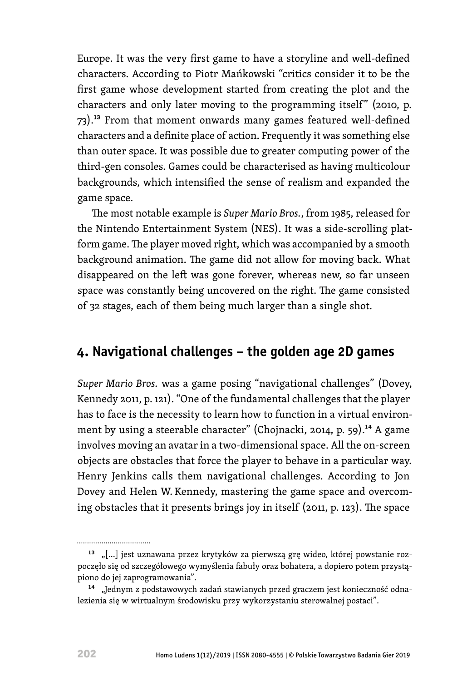Europe. It was the very first game to have a storyline and well-defined characters. According to Piotr Mańkowski "critics consider it to be the first game whose development started from creating the plot and the characters and only later moving to the programming itself" (2010, p. 73).13 From that moment onwards many games featured well-defined characters and a definite place of action. Frequently it was something else than outer space. It was possible due to greater computing power of the third-gen consoles. Games could be characterised as having multicolour backgrounds, which intensified the sense of realism and expanded the game space.

The most notable example is *Super Mario Bros.*, from 1985, released for the Nintendo Entertainment System (NES). It was a side-scrolling platform game. The player moved right, which was accompanied by a smooth background animation. The game did not allow for moving back. What disappeared on the left was gone forever, whereas new, so far unseen space was constantly being uncovered on the right. The game consisted of 32 stages, each of them being much larger than a single shot.

# **4. Navigational challenges – the golden age 2D games**

*Super Mario Bros.* was a game posing "navigational challenges" (Dovey, Kennedy 2011, p. 121). "One of the fundamental challenges that the player has to face is the necessity to learn how to function in a virtual environment by using a steerable character" (Chojnacki, 2014, p. 59).<sup>14</sup> A game involves moving an avatar in a two-dimensional space. All the on-screen objects are obstacles that force the player to behave in a particular way. Henry Jenkins calls them navigational challenges. According to Jon Dovey and Helen W. Kennedy, mastering the game space and overcoming obstacles that it presents brings joy in itself (2011, p. 123). The space

.................................

<sup>&</sup>lt;sup>13</sup> "[...] jest uznawana przez krytyków za pierwszą grę wideo, której powstanie rozpoczęło się od szczegółowego wymyślenia fabuły oraz bohatera, a dopiero potem przystąpiono do jej zaprogramowania".

<sup>14 &</sup>quot;Jednym z podstawowych zadań stawianych przed graczem jest konieczność odnalezienia się w wirtualnym środowisku przy wykorzystaniu sterowalnej postaci".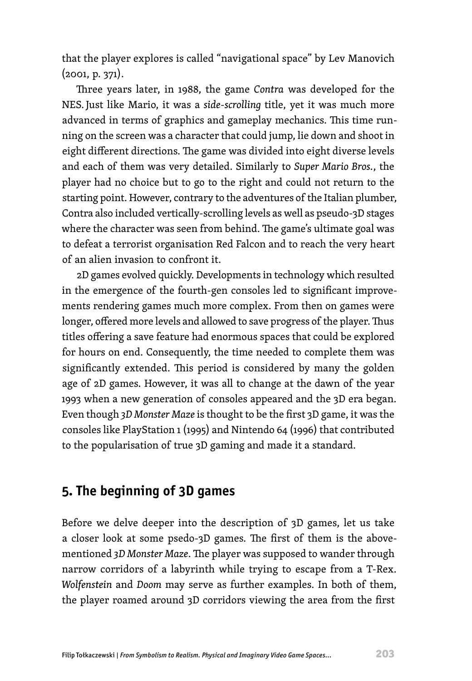that the player explores is called "navigational space" by Lev Manovich (2001, p. 371).

Three years later, in 1988, the game *Contra* was developed for the NES. Just like Mario, it was a *side*-*scrolling* title, yet it was much more advanced in terms of graphics and gameplay mechanics. This time running on the screen was a character that could jump, lie down and shoot in eight different directions. The game was divided into eight diverse levels and each of them was very detailed. Similarly to *Super Mario Bros.*, the player had no choice but to go to the right and could not return to the starting point. However, contrary to the adventures of the Italian plumber, Contra also included vertically-scrolling levels as well as pseudo-3D stages where the character was seen from behind. The game's ultimate goal was to defeat a terrorist organisation Red Falcon and to reach the very heart of an alien invasion to confront it.

2D games evolved quickly. Developments in technology which resulted in the emergence of the fourth-gen consoles led to significant improvements rendering games much more complex. From then on games were longer, offered more levels and allowed to save progress of the player. Thus titles offering a save feature had enormous spaces that could be explored for hours on end. Consequently, the time needed to complete them was significantly extended. This period is considered by many the golden age of 2D games. However, it was all to change at the dawn of the year 1993 when a new generation of consoles appeared and the 3D era began. Even though *3D Monster Maze* is thought to be the first 3D game, it was the consoles like PlayStation 1 (1995) and Nintendo 64 (1996) that contributed to the popularisation of true 3D gaming and made it a standard.

### **5. The beginning of 3D games**

Before we delve deeper into the description of 3D games, let us take a closer look at some psedo-3D games. The first of them is the abovementioned *3D Monster Maze*. The player was supposed to wander through narrow corridors of a labyrinth while trying to escape from a T-Rex. *Wolfenstein* and *Doom* may serve as further examples. In both of them, the player roamed around 3D corridors viewing the area from the first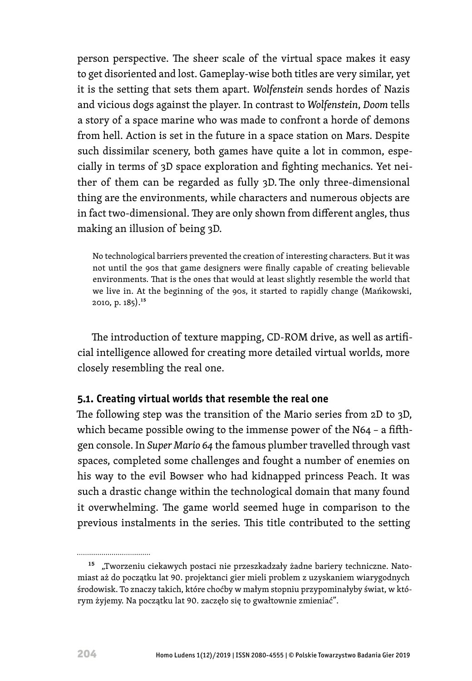person perspective. The sheer scale of the virtual space makes it easy to get disoriented and lost. Gameplay-wise both titles are very similar, yet it is the setting that sets them apart. *Wolfenstein* sends hordes of Nazis and vicious dogs against the player. In contrast to *Wolfenstein*, *Doom* tells a story of a space marine who was made to confront a horde of demons from hell. Action is set in the future in a space station on Mars. Despite such dissimilar scenery, both games have quite a lot in common, especially in terms of 3D space exploration and fighting mechanics. Yet neither of them can be regarded as fully 3D.The only three-dimensional thing are the environments, while characters and numerous objects are in fact two-dimensional. They are only shown from different angles, thus making an illusion of being 3D.

No technological barriers prevented the creation of interesting characters. But it was not until the 90s that game designers were finally capable of creating believable environments. That is the ones that would at least slightly resemble the world that we live in. At the beginning of the 90s, it started to rapidly change (Mańkowski, 2010, p. 185).15

The introduction of texture mapping, CD-ROM drive, as well as artificial intelligence allowed for creating more detailed virtual worlds, more closely resembling the real one.

#### **5.1. Creating virtual worlds that resemble the real one**

The following step was the transition of the Mario series from 2D to 3D, which became possible owing to the immense power of the N64 – a fifthgen console. In *Super Mario 64* the famous plumber travelled through vast spaces, completed some challenges and fought a number of enemies on his way to the evil Bowser who had kidnapped princess Peach. It was such a drastic change within the technological domain that many found it overwhelming. The game world seemed huge in comparison to the previous instalments in the series. This title contributed to the setting

<sup>&</sup>lt;sup>15</sup> "Tworzeniu ciekawych postaci nie przeszkadzały żadne bariery techniczne. Natomiast aż do początku lat 90. projektanci gier mieli problem z uzyskaniem wiarygodnych środowisk. To znaczy takich, które choćby w małym stopniu przypominałyby świat, w którym żyjemy. Na początku lat 90. zaczęło się to gwałtownie zmieniać".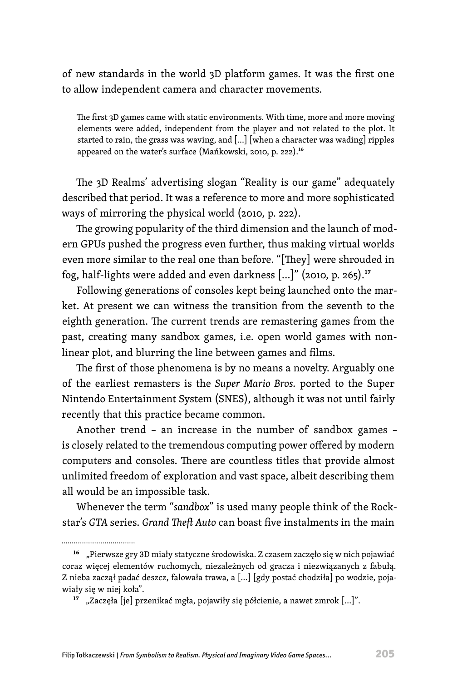of new standards in the world 3D platform games. It was the first one to allow independent camera and character movements.

The first 3D games came with static environments. With time, more and more moving elements were added, independent from the player and not related to the plot. It started to rain, the grass was waving, and […] [when a character was wading] ripples appeared on the water's surface (Mańkowski, 2010, p. 222).16

The 3D Realms' advertising slogan "Reality is our game" adequately described that period. It was a reference to more and more sophisticated ways of mirroring the physical world (2010, p. 222).

The growing popularity of the third dimension and the launch of modern GPUs pushed the progress even further, thus making virtual worlds even more similar to the real one than before. "[They] were shrouded in fog, half-lights were added and even darkness […]" (2010, p. 265).17

Following generations of consoles kept being launched onto the market. At present we can witness the transition from the seventh to the eighth generation. The current trends are remastering games from the past, creating many sandbox games, i.e. open world games with nonlinear plot, and blurring the line between games and films.

The first of those phenomena is by no means a novelty. Arguably one of the earliest remasters is the *Super Mario Bros.* ported to the Super Nintendo Entertainment System (SNES), although it was not until fairly recently that this practice became common.

Another trend – an increase in the number of sandbox games – is closely related to the tremendous computing power offered by modern computers and consoles. There are countless titles that provide almost unlimited freedom of exploration and vast space, albeit describing them all would be an impossible task.

Whenever the term "*sandbox*" is used many people think of the Rockstar's *GTA* series. *Grand Theft Auto* can boast five instalments in the main

<sup>16 &</sup>quot;Pierwsze gry 3D miały statyczne środowiska. Z czasem zaczęło się w nich pojawiać coraz więcej elementów ruchomych, niezależnych od gracza i niezwiązanych z fabułą. Z nieba zaczął padać deszcz, falowała trawa, a […] [gdy postać chodziła] po wodzie, pojawiały się w niej koła".

<sup>17 &</sup>quot;Zaczęła [je] przenikać mgła, pojawiły się półcienie, a nawet zmrok […]".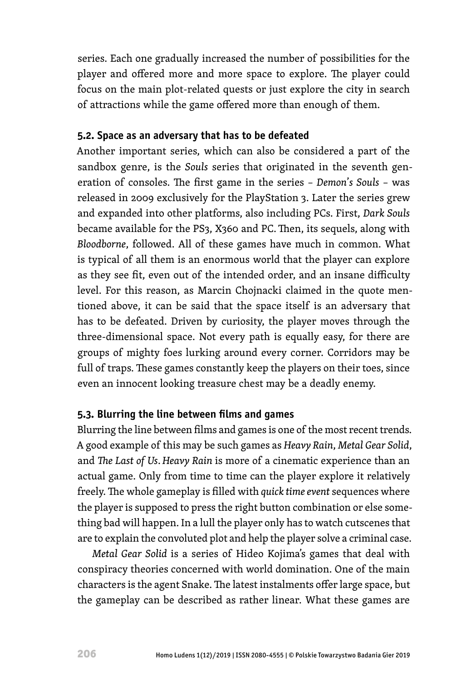series. Each one gradually increased the number of possibilities for the player and offered more and more space to explore. The player could focus on the main plot-related quests or just explore the city in search of attractions while the game offered more than enough of them.

#### **5.2. Space as an adversary that has to be defeated**

Another important series, which can also be considered a part of the sandbox genre, is the *Souls* series that originated in the seventh generation of consoles. The first game in the series – *Demon*'*s Souls* – was released in 2009 exclusively for the PlayStation 3. Later the series grew and expanded into other platforms, also including PCs. First, *Dark Souls*  became available for the PS3, X360 and PC.Then, its sequels, along with *Bloodborne*, followed. All of these games have much in common. What is typical of all them is an enormous world that the player can explore as they see fit, even out of the intended order, and an insane difficulty level. For this reason, as Marcin Chojnacki claimed in the quote mentioned above, it can be said that the space itself is an adversary that has to be defeated. Driven by curiosity, the player moves through the three-dimensional space. Not every path is equally easy, for there are groups of mighty foes lurking around every corner. Corridors may be full of traps. These games constantly keep the players on their toes, since even an innocent looking treasure chest may be a deadly enemy.

#### **5.3. Blurring the line between films and games**

Blurring the line between films and games is one of the most recent trends. A good example of this may be such games as *Heavy Rain*, *Metal Gear Solid*, and *The Last of Us*. *Heavy Rain* is more of a cinematic experience than an actual game. Only from time to time can the player explore it relatively freely. The whole gameplay is filled with *quick time event* sequences where the player is supposed to press the right button combination or else something bad will happen. In a lull the player only has to watch cutscenes that are to explain the convoluted plot and help the player solve a criminal case.

*Metal Gear Solid* is a series of Hideo Kojima's games that deal with conspiracy theories concerned with world domination. One of the main characters is the agent Snake. The latest instalments offer large space, but the gameplay can be described as rather linear. What these games are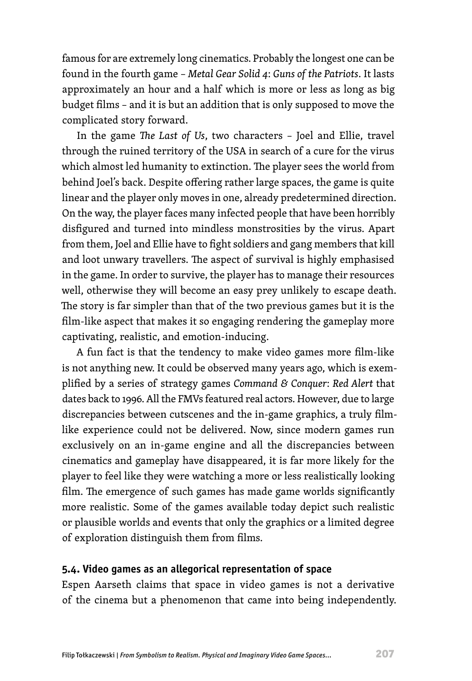famous for are extremely long cinematics. Probably the longest one can be found in the fourth game – *Metal Gear Solid 4*: *Guns of the Patriots*. It lasts approximately an hour and a half which is more or less as long as big budget films – and it is but an addition that is only supposed to move the complicated story forward.

In the game *The Last of Us*, two characters – Joel and Ellie, travel through the ruined territory of the USA in search of a cure for the virus which almost led humanity to extinction. The player sees the world from behind Joel's back. Despite offering rather large spaces, the game is quite linear and the player only moves in one, already predetermined direction. On the way, the player faces many infected people that have been horribly disfigured and turned into mindless monstrosities by the virus. Apart from them, Joel and Ellie have to fight soldiers and gang members that kill and loot unwary travellers. The aspect of survival is highly emphasised in the game. In order to survive, the player has to manage their resources well, otherwise they will become an easy prey unlikely to escape death. The story is far simpler than that of the two previous games but it is the film-like aspect that makes it so engaging rendering the gameplay more captivating, realistic, and emotion-inducing.

A fun fact is that the tendency to make video games more film-like is not anything new. It could be observed many years ago, which is exemplified by a series of strategy games *Command & Conquer*: *Red Alert* that dates back to 1996. All the FMVs featured real actors. However, due to large discrepancies between cutscenes and the in-game graphics, a truly filmlike experience could not be delivered. Now, since modern games run exclusively on an in-game engine and all the discrepancies between cinematics and gameplay have disappeared, it is far more likely for the player to feel like they were watching a more or less realistically looking film. The emergence of such games has made game worlds significantly more realistic. Some of the games available today depict such realistic or plausible worlds and events that only the graphics or a limited degree of exploration distinguish them from films.

#### **5.4. Video games as an allegorical representation of space**

Espen Aarseth claims that space in video games is not a derivative of the cinema but a phenomenon that came into being independently.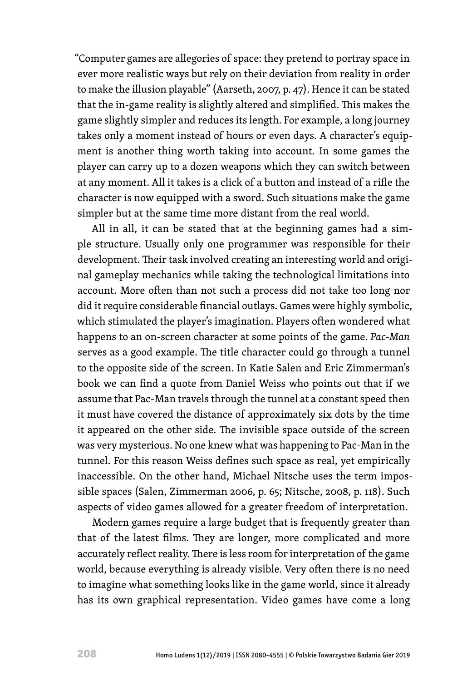"Computer games are allegories of space: they pretend to portray space in ever more realistic ways but rely on their deviation from reality in order to make the illusion playable" (Aarseth, 2007, p. 47). Hence it can be stated that the in-game reality is slightly altered and simplified. This makes the game slightly simpler and reduces its length. For example, a long journey takes only a moment instead of hours or even days. A character's equipment is another thing worth taking into account. In some games the player can carry up to a dozen weapons which they can switch between at any moment. All it takes is a click of a button and instead of a rifle the character is now equipped with a sword. Such situations make the game simpler but at the same time more distant from the real world.

All in all, it can be stated that at the beginning games had a simple structure. Usually only one programmer was responsible for their development. Their task involved creating an interesting world and original gameplay mechanics while taking the technological limitations into account. More often than not such a process did not take too long nor did it require considerable financial outlays. Games were highly symbolic, which stimulated the player's imagination. Players often wondered what happens to an on-screen character at some points of the game. *Pac*-*Man* serves as a good example. The title character could go through a tunnel to the opposite side of the screen. In Katie Salen and Eric Zimmerman's book we can find a quote from Daniel Weiss who points out that if we assume that Pac-Man travels through the tunnel at a constant speed then it must have covered the distance of approximately six dots by the time it appeared on the other side. The invisible space outside of the screen was very mysterious. No one knew what was happening to Pac-Man in the tunnel. For this reason Weiss defines such space as real, yet empirically inaccessible. On the other hand, Michael Nitsche uses the term impossible spaces (Salen, Zimmerman 2006, p. 65; Nitsche, 2008, p. 118). Such aspects of video games allowed for a greater freedom of interpretation.

Modern games require a large budget that is frequently greater than that of the latest films. They are longer, more complicated and more accurately reflect reality. There is less room for interpretation of the game world, because everything is already visible. Very often there is no need to imagine what something looks like in the game world, since it already has its own graphical representation. Video games have come a long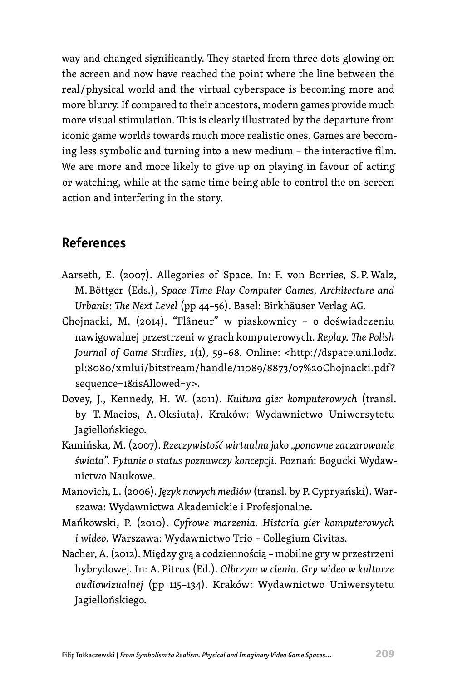way and changed significantly. They started from three dots glowing on the screen and now have reached the point where the line between the real / physical world and the virtual cyberspace is becoming more and more blurry. If compared to their ancestors, modern games provide much more visual stimulation. This is clearly illustrated by the departure from iconic game worlds towards much more realistic ones. Games are becoming less symbolic and turning into a new medium – the interactive film. We are more and more likely to give up on playing in favour of acting or watching, while at the same time being able to control the on-screen action and interfering in the story.

# **References**

- Aarseth, E. (2007). Allegories of Space. In: F. von Borries, S. P. Walz, M. Böttger (Eds.), *Space Time Play Computer Games, Architecture and Urbanis*: *The Next Level* (pp 44–56). Basel: Birkhäuser Verlag AG.
- Chojnacki, M. (2014). "Flâneur" w piaskownicy o doświadczeniu nawigowalnej przestrzeni w grach komputerowych. *Replay. The Polish Journal of Game Studies*, *1*(1), 59–68. Online: <http://dspace.uni.lodz. pl:8080/xmlui/bitstream/handle/11089/8873/07%20Chojnacki.pdf? sequence=1&isAllowed=y>.
- Dovey, J., Kennedy, H. W. (2011). *Kultura gier komputerowych* (transl. by T. Macios, A. Oksiuta). Kraków: Wydawnictwo Uniwersytetu Jagiellońskiego.
- Kamińska, M. (2007). *Rzeczywistość wirtualna jako "ponowne zaczarowanie świata". Pytanie o status poznawczy koncepcji*. Poznań: Bogucki Wydawnictwo Naukowe.
- Manovich, L. (2006). *Język nowych mediów* (transl. by P. Cypryański). Warszawa: Wydawnictwa Akademickie i Profesjonalne.
- Mańkowski, P. (2010). *Cyfrowe marzenia. Historia gier komputerowych i wideo.* Warszawa: Wydawnictwo Trio – Collegium Civitas.
- Nacher, A. (2012). Między grą a codziennością mobilne gry w przestrzeni hybrydowej. In: A. Pitrus (Ed.). *Olbrzym w cieniu. Gry wideo w kulturze audiowizualnej* (pp 115–134). Kraków: Wydawnictwo Uniwersytetu Jagiellońskiego.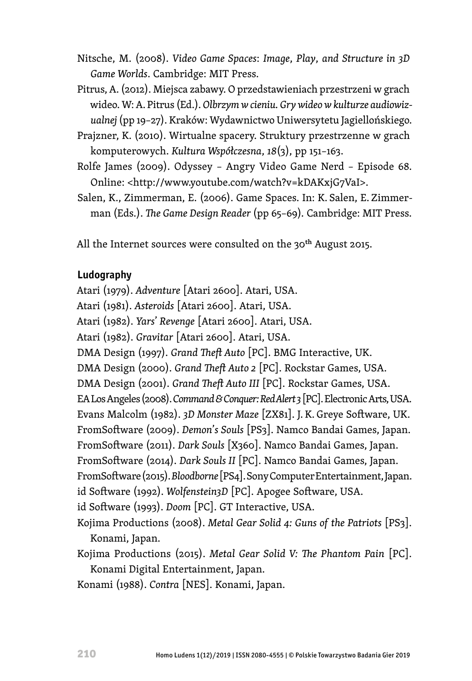- Nitsche, M. (2008). *Video Game Spaces*: *Image*, *Play*, *and Structure in 3D Game Worlds*. Cambridge: MIT Press.
- Pitrus, A. (2012). Miejsca zabawy. O przedstawieniach przestrzeni w grach wideo. W: A. Pitrus (Ed.). *Olbrzym w cieniu. Gry wideo w kulturze audiowizualnej* (pp 19–27). Kraków: Wydawnictwo Uniwersytetu Jagiellońskiego.
- Prajzner, K. (2010). Wirtualne spacery. Struktury przestrzenne w grach komputerowych. *Kultura Współczesna*, *18*(3), pp 151–163.
- Rolfe James (2009). Odyssey Angry Video Game Nerd Episode 68. Online: <http://www.youtube.com/watch?v=kDAKxjG7VaI>.
- Salen, K., Zimmerman, E. (2006). Game Spaces. In: K. Salen, E. Zimmerman (Eds.). *The Game Design Reader* (pp 65–69)*.* Cambridge: MIT Press.

All the Internet sources were consulted on the 30<sup>th</sup> August 2015.

#### **Ludography**

Atari (1979). *Adventure* [Atari 2600]. Atari, USA.

Atari (1981). *Asteroids* [Atari 2600]. Atari, USA.

Atari (1982). *Yars*' *Revenge* [Atari 2600]. Atari, USA.

Atari (1982). *Gravitar* [Atari 2600]. Atari, USA.

DMA Design (1997). *Grand Theft Auto* [PC]. BMG Interactive, UK.

DMA Design (2000). *Grand Theft Auto 2* [PC]. Rockstar Games, USA.

DMA Design (2001). *Grand Theft Auto III* [PC]. Rockstar Games, USA.

EA Los Angeles (2008). *Command & Conquer: Red Alert 3* [PC]. Electronic Arts, USA.

Evans Malcolm (1982). *3D Monster Maze* [ZX81]. J. K. Greye Software, UK.

FromSoftware (2009). *Demon*'*s Souls* [PS3]. Namco Bandai Games, Japan.

FromSoftware (2011). *Dark Souls* [X360]. Namco Bandai Games, Japan.

FromSoftware (2014). *Dark Souls II* [PC]. Namco Bandai Games, Japan.

FromSoftware (2015). *Bloodborne* [PS4]. Sony Computer Entertainment, Japan.

id Software (1992). *Wolfenstein3D* [PC]. Apogee Software, USA.

```
id Software (1993). Doom [PC]. GT Interactive, USA.
```
Kojima Productions (2008). *Metal Gear Solid 4: Guns of the Patriots* [PS3]. Konami, Japan.

Kojima Productions (2015). *Metal Gear Solid V: The Phantom Pain* [PC]. Konami Digital Entertainment, Japan.

Konami (1988). *Contra* [NES]. Konami, Japan.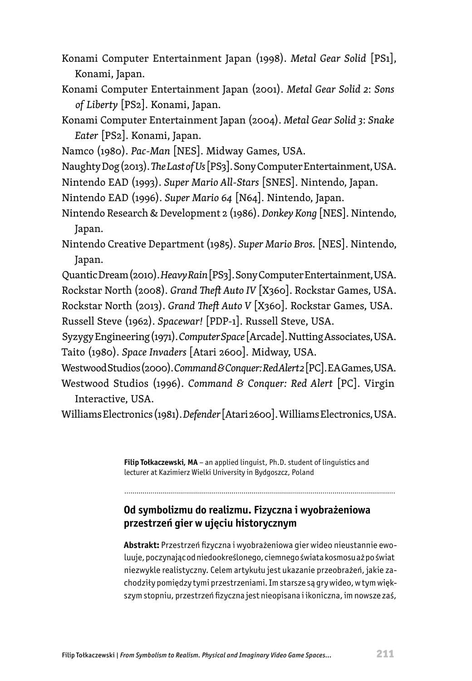- Konami Computer Entertainment Japan (1998). *Metal Gear Solid* [PS1], Konami, Japan.
- Konami Computer Entertainment Japan (2001). *Metal Gear Solid 2*: *Sons of Liberty* [PS2]. Konami, Japan.
- Konami Computer Entertainment Japan (2004). *Metal Gear Solid 3*: *Snake Eater* [PS2]. Konami, Japan.
- Namco (1980). *Pac-Man* [NES]. Midway Games, USA.
- Naughty Dog (2013). *The Last of Us* [PS3]. Sony Computer Entertainment, USA.
- Nintendo EAD (1993). *Super Mario All-Stars* [SNES]. Nintendo, Japan.
- Nintendo EAD (1996). *Super Mario 64* [N64]. Nintendo, Japan.
- Nintendo Research & Development 2 (1986). *Donkey Kong* [NES]. Nintendo, Japan.
- Nintendo Creative Department (1985). *Super Mario Bros.* [NES]. Nintendo, Japan.

Quantic Dream (2010). *Heavy Rain* [PS3]. Sony Computer Entertainment, USA. Rockstar North (2008). *Grand Theft Auto IV* [X360]. Rockstar Games, USA. Rockstar North (2013). *Grand Theft Auto V* [X360]. Rockstar Games, USA.

Russell Steve (1962). *Spacewar!* [PDP-1]. Russell Steve, USA.

Syzygy Engineering (1971). *Computer Space* [Arcade]. Nutting Associates, USA. Taito (1980). *Space Invaders* [Atari 2600]. Midway, USA.

Westwood Studios (2000). *Command & Conquer: Red Alert 2* [PC]. EA Games, USA. Westwood Studios (1996). *Command & Conquer: Red Alert* [PC]. Virgin Interactive, USA.

Williams Electronics (1981). *Defender* [Atari 2600]. Williams Electronics, USA.

**Filip Tołkaczewski, MA** – an applied linguist, Ph.D. student of linguistics and lecturer at Kazimierz Wielki University in Bydgoszcz, Poland

#### **Od symbolizmu do realizmu. Fizyczna i wyobrażeniowa przestrzeń gier w ujęciu historycznym**

**Abstrakt:** Przestrzeń fizyczna i wyobrażeniowa gier wideo nieustannie ewoluuje, poczynając od niedookreślonego, ciemnego świata kosmosu aż po świat niezwykle realistyczny. Celem artykułu jest ukazanie przeobrażeń, jakie zachodziły pomiędzy tymi przestrzeniami. Im starsze są gry wideo, w tym większym stopniu, przestrzeń fizyczna jest nieopisana i ikoniczna, im nowsze zaś,